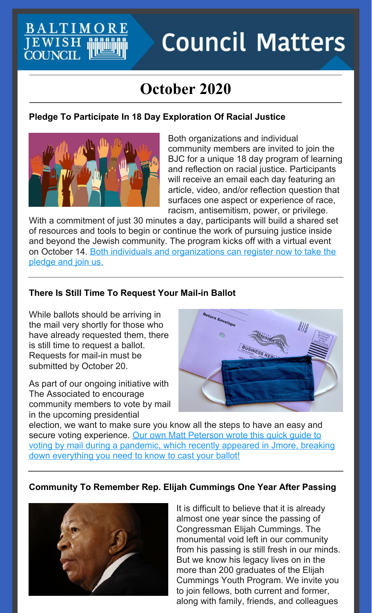# **Council Matters**

# **October 2020**

#### **Pledge To Participate In 18 Day Exploration Of Racial Justice**



BALTIMOR

EWISH<br>**COUNCIL** 

Both organizations and individual community members are invited to join the BJC for a unique 18 day program of learning and reflection on racial justice. Participants will receive an email each day featuring an article, video, and/or reflection question that surfaces one aspect or experience of race, racism, antisemitism, power, or privilege.

With a commitment of just 30 minutes a day, participants will build a shared set of resources and tools to begin or continue the work of pursuing justice inside and beyond the Jewish community. The program kicks off with a virtual event on October 14. Both individuals and [organizations](https://forms.gle/EKv7oVyuvUJVPiuJ8) can register now to take the pledge and join us.

#### **There Is Still Time To Request Your Mail-in Ballot**

While ballots should be arriving in the mail very shortly for those who have already requested them, there is still time to request a ballot. Requests for mail-in must be submitted by October 20.

As part of our ongoing initiative with The Associated to encourage community members to vote by mail in the upcoming presidential



election, we want to make sure you know all the steps to have an easy and secure voting [experience.](https://www.jmoreliving.com/2020/09/10/a-quick-guide-to-voting-in-the-general-election-this-november/) Our own Matt Peterson wrote this quick quide to voting by mail during a pandemic, which recently appeared in Jmore, breaking down everything you need to know to cast your ballot!

#### **Community To Remember Rep. Elijah Cummings One Year After Passing**



It is difficult to believe that it is already almost one year since the passing of Congressman Elijah Cummings. The monumental void left in our community from his passing is still fresh in our minds. But we know his legacy lives on in the more than 200 graduates of the Elijah Cummings Youth Program. We invite you to join fellows, both current and former, along with family, friends, and colleagues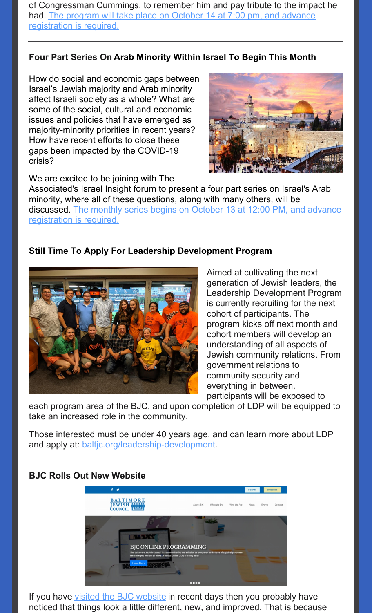of Congressman Cummings, to remember him and pay tribute to the impact he had. The program will take place on October 14 at 7:00 pm, and advance [registration](https://events.idonate.com/tribute?fbclid=IwAR19Vfs2LY3196QF6fJSlco_mUXHWPbgl-URa2k3QvjyJ56fpHSgEoUAITM) is required.

#### **Four Part Series On Arab Minority Within Israel To Begin This Month**

How do social and economic gaps between Israel's Jewish majority and Arab minority affect Israeli society as a whole? What are some of the social, cultural and economic issues and policies that have emerged as majority-minority priorities in recent years? How have recent efforts to close these gaps been impacted by the COVID-19 crisis?



We are excited to be joining with The

Associated's Israel Insight forum to present a four part series on Israel's Arab minority, where all of these questions, along with many others, will be discussed. The monthly series begins on October 13 at 12:00 PM, and advance [registration](https://associated.org/event/the-21-the-arab-minority-in-israeli-society/) is required.

#### **Still Time To Apply For Leadership Development Program**



Aimed at cultivating the next generation of Jewish leaders, the Leadership Development Program is currently recruiting for the next cohort of participants. The program kicks off next month and cohort members will develop an understanding of all aspects of Jewish community relations. From government relations to community security and everything in between, participants will be exposed to

each program area of the BJC, and upon completion of LDP will be equipped to take an increased role in the community.

Those interested must be under 40 years age, and can learn more about LDP and apply at: [baltjc.org/leadership-development](https://www.baltjc.org/leadership-development).

#### **BJC Rolls Out New Website**



If you have visited the BJC [website](http://baltjc.org) in recent days then you probably have noticed that things look a little different, new, and improved. That is because